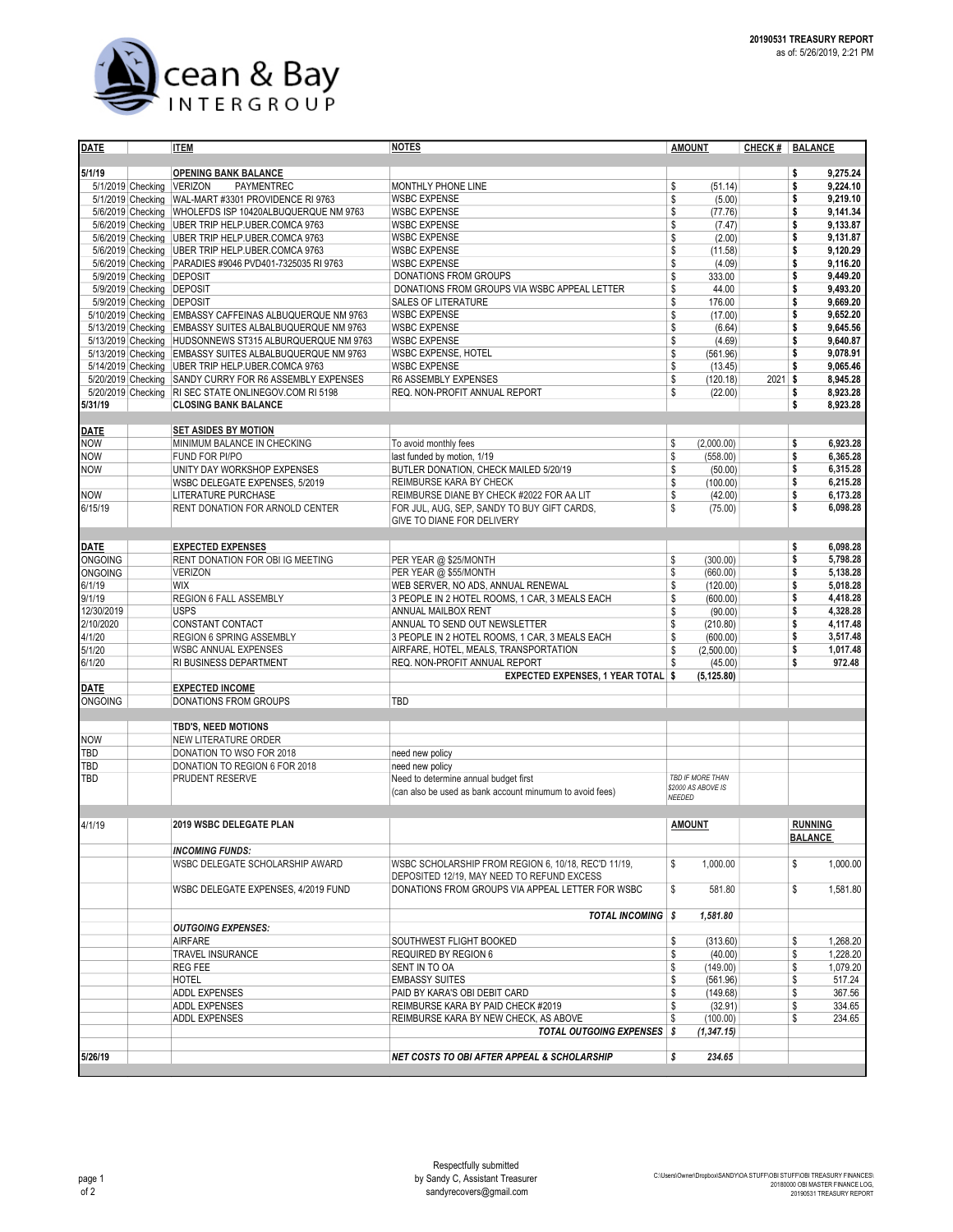

| <b>DATE</b>                            |  | <b>ITEM</b>                                                                                                   | <b>NOTES</b>                                                     | <b>AMOUNT</b>                          | CHECK #        | <b>BALANCE</b>                   |  |  |
|----------------------------------------|--|---------------------------------------------------------------------------------------------------------------|------------------------------------------------------------------|----------------------------------------|----------------|----------------------------------|--|--|
|                                        |  |                                                                                                               |                                                                  |                                        |                |                                  |  |  |
| 5/1/19                                 |  | <b>OPENING BANK BALANCE</b>                                                                                   |                                                                  |                                        |                | 9,275.24<br>\$<br>9,224.10       |  |  |
| 5/1/2019 Checking<br>5/1/2019 Checking |  | <b>VERIZON</b><br>PAYMENTREC<br>WAL-MART #3301 PROVIDENCE RI 9763                                             | MONTHLY PHONE LINE<br><b>WSBC EXPENSE</b>                        | \$<br>(51.14)<br>\$<br>(5.00)          |                | \$<br>9,219.10<br>\$             |  |  |
|                                        |  | 5/6/2019 Checking WHOLEFDS ISP 10420ALBUQUERQUE NM 9763                                                       | <b>WSBC EXPENSE</b>                                              | \$<br>(77.76)                          |                | \$<br>9,141.34                   |  |  |
|                                        |  | 5/6/2019 Checking UBER TRIP HELP.UBER.COMCA 9763                                                              | <b>WSBC EXPENSE</b>                                              | \$<br>(7.47)                           |                | \$<br>9,133.87                   |  |  |
|                                        |  | 5/6/2019 Checking UBER TRIP HELP UBER COMCA 9763                                                              | <b>WSBC EXPENSE</b>                                              | \$<br>(2.00)                           |                | \$<br>9,131.87                   |  |  |
|                                        |  | 5/6/2019 Checking UBER TRIP HELP UBER COMCA 9763                                                              | <b>WSBC EXPENSE</b>                                              | \$<br>(11.58)                          |                | \$<br>9,120.29                   |  |  |
|                                        |  | 5/6/2019 Checking PARADIES #9046 PVD401-7325035 RI 9763                                                       | <b>WSBC EXPENSE</b>                                              | \$<br>(4.09)                           |                | 9,116.20<br>\$                   |  |  |
|                                        |  | 5/9/2019 Checking DEPOSIT                                                                                     | <b>DONATIONS FROM GROUPS</b>                                     | \$<br>333.00                           |                | 9,449.20<br>\$                   |  |  |
|                                        |  | 5/9/2019 Checking DEPOSIT                                                                                     | DONATIONS FROM GROUPS VIA WSBC APPEAL LETTER                     | \$<br>44.00                            |                | 9,493.20<br>\$                   |  |  |
|                                        |  | 5/9/2019 Checking DEPOSIT                                                                                     | <b>SALES OF LITERATURE</b>                                       | \$<br>176.00                           |                | 9,669.20<br>\$                   |  |  |
|                                        |  | 5/10/2019 Checking EMBASSY CAFFEINAS ALBUQUERQUE NM 9763                                                      | <b>WSBC EXPENSE</b>                                              | \$<br>(17.00)                          |                | 9,652.20<br>\$                   |  |  |
|                                        |  | 5/13/2019 Checking EMBASSY SUITES ALBALBUQUERQUE NM 9763                                                      | <b>WSBC EXPENSE</b>                                              | \$<br>(6.64)                           |                | \$<br>9,645.56                   |  |  |
|                                        |  | 5/13/2019 Checking HUDSONNEWS ST315 ALBURQUERQUE NM 9763                                                      | <b>WSBC EXPENSE</b>                                              | \$<br>(4.69)                           |                | \$<br>9,640.87<br>\$<br>9,078.91 |  |  |
|                                        |  | 5/13/2019 Checking EMBASSY SUITES ALBALBUQUERQUE NM 9763<br>5/14/2019 Checking UBER TRIP HELP.UBER.COMCA 9763 | WSBC EXPENSE, HOTEL<br><b>WSBC EXPENSE</b>                       | \$<br>(561.96)<br>\$<br>(13.45)        |                | \$<br>9,065.46                   |  |  |
|                                        |  | 5/20/2019 Checking SANDY CURRY FOR R6 ASSEMBLY EXPENSES                                                       | R6 ASSEMBLY EXPENSES                                             | \$<br>(120.18)                         | 2021           | \$<br>8,945.28                   |  |  |
|                                        |  | 5/20/2019 Checking RI SEC STATE ONLINEGOV.COM RI 5198                                                         | REQ. NON-PROFIT ANNUAL REPORT                                    | \$<br>(22.00)                          |                | 8,923.28<br>\$                   |  |  |
| 5/31/19                                |  | <b>CLOSING BANK BALANCE</b>                                                                                   |                                                                  |                                        |                | 8,923.28<br>\$                   |  |  |
|                                        |  |                                                                                                               |                                                                  |                                        |                |                                  |  |  |
| <b>DATE</b>                            |  | <b>SET ASIDES BY MOTION</b>                                                                                   |                                                                  |                                        |                |                                  |  |  |
| <b>NOW</b>                             |  | MINIMUM BALANCE IN CHECKING                                                                                   | To avoid monthly fees                                            | \$<br>(2,000.00)                       |                | 6,923.28<br>\$                   |  |  |
| <b>NOW</b>                             |  | <b>FUND FOR PI/PO</b>                                                                                         | last funded by motion, 1/19                                      | \$<br>(558.00)                         |                | \$<br>6,365.28                   |  |  |
| <b>NOW</b>                             |  | UNITY DAY WORKSHOP EXPENSES                                                                                   | BUTLER DONATION, CHECK MAILED 5/20/19                            | \$<br>(50.00)                          |                | \$<br>6,315.28                   |  |  |
|                                        |  | WSBC DELEGATE EXPENSES, 5/2019                                                                                | REIMBURSE KARA BY CHECK                                          | \$<br>(100.00)                         |                | \$<br>6.215.28                   |  |  |
| <b>NOW</b>                             |  | <b>LITERATURE PURCHASE</b>                                                                                    | REIMBURSE DIANE BY CHECK #2022 FOR AA LIT                        | \$<br>(42.00)                          |                | \$<br>6.173.28                   |  |  |
| 6/15/19                                |  | RENT DONATION FOR ARNOLD CENTER                                                                               | FOR JUL, AUG, SEP, SANDY TO BUY GIFT CARDS,                      | \$<br>(75.00)                          |                | \$<br>6,098.28                   |  |  |
|                                        |  |                                                                                                               | GIVE TO DIANE FOR DELIVERY                                       |                                        |                |                                  |  |  |
| <b>DATE</b>                            |  | <b>EXPECTED EXPENSES</b>                                                                                      |                                                                  |                                        |                | 6,098.28<br>\$                   |  |  |
| <b>ONGOING</b>                         |  | RENT DONATION FOR OBI IG MEETING                                                                              | PER YEAR @ \$25/MONTH                                            | (300.00)<br>\$                         |                | \$<br>5.798.28                   |  |  |
| <b>ONGOING</b>                         |  | <b>VERIZON</b>                                                                                                | PER YEAR @ \$55/MONTH                                            | \$<br>(660.00)                         |                | \$<br>5,138.28                   |  |  |
| 6/1/19                                 |  | <b>WIX</b>                                                                                                    | WEB SERVER, NO ADS, ANNUAL RENEWAL                               | \$<br>(120.00)                         |                | \$<br>5,018.28                   |  |  |
| 9/1/19                                 |  | REGION 6 FALL ASSEMBLY                                                                                        | 3 PEOPLE IN 2 HOTEL ROOMS, 1 CAR, 3 MEALS EACH                   | \$<br>(600.00)                         |                | \$<br>4,418.28                   |  |  |
| 12/30/2019                             |  | <b>USPS</b>                                                                                                   | ANNUAL MAILBOX RENT                                              | \$<br>(90.00)                          |                | \$<br>4,328.28                   |  |  |
| 2/10/2020                              |  | CONSTANT CONTACT                                                                                              | ANNUAL TO SEND OUT NEWSLETTER                                    | \$<br>(210.80)                         |                | \$<br>4,117.48                   |  |  |
| 4/1/20                                 |  | <b>REGION 6 SPRING ASSEMBLY</b>                                                                               | \$<br>3 PEOPLE IN 2 HOTEL ROOMS, 1 CAR, 3 MEALS EACH<br>(600.00) |                                        |                | \$<br>3,517.48                   |  |  |
| 5/1/20                                 |  | <b>WSBC ANNUAL EXPENSES</b>                                                                                   | AIRFARE, HOTEL, MEALS, TRANSPORTATION                            | \$<br>(2,500.00)                       |                | \$<br>1,017.48                   |  |  |
| 6/1/20                                 |  | <b>RI BUSINESS DEPARTMENT</b>                                                                                 | REQ. NON-PROFIT ANNUAL REPORT                                    | \$<br>(45.00)                          |                | \$<br>972.48                     |  |  |
| <b>DATE</b>                            |  | <b>EXPECTED INCOME</b>                                                                                        | EXPECTED EXPENSES, 1 YEAR TOTAL \$                               | (5, 125.80)                            |                |                                  |  |  |
| ONGOING                                |  | DONATIONS FROM GROUPS                                                                                         | TBD                                                              |                                        |                |                                  |  |  |
|                                        |  |                                                                                                               |                                                                  |                                        |                |                                  |  |  |
|                                        |  | TBD'S, NEED MOTIONS                                                                                           |                                                                  |                                        |                |                                  |  |  |
| <b>NOW</b>                             |  | <b>NEW LITERATURE ORDER</b>                                                                                   |                                                                  |                                        |                |                                  |  |  |
| TBD                                    |  | DONATION TO WSO FOR 2018                                                                                      | need new policy                                                  |                                        |                |                                  |  |  |
| TBD                                    |  | DONATION TO REGION 6 FOR 2018                                                                                 | need new policy                                                  |                                        |                |                                  |  |  |
| TBD                                    |  | PRUDENT RESERVE                                                                                               | Need to determine annual budget first                            | TBD IF MORE THAN<br>\$2000 AS ABOVE IS |                |                                  |  |  |
|                                        |  | (can also be used as bank account minumum to avoid fees)                                                      |                                                                  | NEEDED                                 |                |                                  |  |  |
|                                        |  |                                                                                                               |                                                                  |                                        |                |                                  |  |  |
| 4/1/19                                 |  | 2019 WSBC DELEGATE PLAN                                                                                       |                                                                  | <b>AMOUNT</b>                          |                | <b>RUNNING</b>                   |  |  |
|                                        |  |                                                                                                               |                                                                  |                                        |                | <b>BALANCE</b>                   |  |  |
|                                        |  | <b>INCOMING FUNDS:</b>                                                                                        |                                                                  |                                        |                |                                  |  |  |
|                                        |  | WSBC DELEGATE SCHOLARSHIP AWARD                                                                               | WSBC SCHOLARSHIP FROM REGION 6, 10/18, REC'D 11/19,              | \$<br>1,000.00                         |                | \$<br>1,000.00                   |  |  |
|                                        |  |                                                                                                               | DEPOSITED 12/19, MAY NEED TO REFUND EXCESS                       |                                        |                |                                  |  |  |
|                                        |  | WSBC DELEGATE EXPENSES, 4/2019 FUND                                                                           | DONATIONS FROM GROUPS VIA APPEAL LETTER FOR WSBC                 | \$<br>581.80                           |                | \$<br>1,581.80                   |  |  |
|                                        |  |                                                                                                               | TOTAL INCOMING \$                                                |                                        |                |                                  |  |  |
|                                        |  | <b>OUTGOING EXPENSES:</b>                                                                                     |                                                                  | 1,581.80                               |                |                                  |  |  |
|                                        |  | AIRFARE                                                                                                       | SOUTHWEST FLIGHT BOOKED                                          | \$<br>(313.60)                         |                | \$<br>1,268.20                   |  |  |
|                                        |  | <b>TRAVEL INSURANCE</b>                                                                                       | \$<br>(40.00)                                                    |                                        | 1,228.20<br>\$ |                                  |  |  |
|                                        |  | <b>REG FEE</b>                                                                                                | \$<br>(149.00)                                                   |                                        | \$<br>1,079.20 |                                  |  |  |
|                                        |  | SENT IN TO OA<br><b>HOTEL</b><br><b>EMBASSY SUITES</b>                                                        |                                                                  | \$<br>(561.96)                         |                | \$<br>517.24                     |  |  |
|                                        |  | <b>ADDL EXPENSES</b>                                                                                          | PAID BY KARA'S OBI DEBIT CARD                                    |                                        |                | \$<br>367.56                     |  |  |
|                                        |  | <b>ADDL EXPENSES</b>                                                                                          | REIMBURSE KARA BY PAID CHECK #2019                               | \$<br>(149.68)<br>\$<br>(32.91)        |                | \$<br>334.65                     |  |  |
|                                        |  | ADDL EXPENSES                                                                                                 | REIMBURSE KARA BY NEW CHECK, AS ABOVE                            |                                        |                |                                  |  |  |
|                                        |  |                                                                                                               | <b>TOTAL OUTGOING EXPENSES</b> \$                                |                                        |                |                                  |  |  |
|                                        |  |                                                                                                               |                                                                  |                                        |                |                                  |  |  |
| 5/26/19                                |  |                                                                                                               | <b>NET COSTS TO OBI AFTER APPEAL &amp; SCHOLARSHIP</b>           | \$<br>234.65                           |                |                                  |  |  |